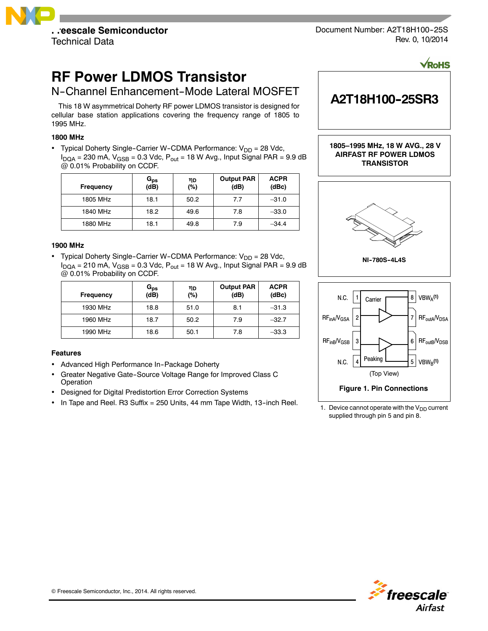

Document Number: A2T18H100-25S Rev. 0, 10/2014

**VRoHS** 

# **RF Power LDMOS Transistor**

N-Channel Enhancement-Mode Lateral MOSFET

This 18 W asymmetrical Doherty RF power LDMOS transistor is designed for cellular base station applications covering the frequency range of 1805 to 1995 MHz.

# **1800 MHz**

• Typical Doherty Single-Carrier W-CDMA Performance:  $V_{DD} = 28$  Vdc,  $I_{DQA}$  = 230 mA,  $V_{GSB}$  = 0.3 Vdc,  $P_{out}$  = 18 W Avg., Input Signal PAR = 9.9 dB @ 0.01% Probability on CCDF.

| Frequency | $G_{\mathsf{ps}}$<br>$(d\bar{B})$ | ηD<br>(%) | <b>Output PAR</b><br>(dB) | <b>ACPR</b><br>(dBc) |
|-----------|-----------------------------------|-----------|---------------------------|----------------------|
| 1805 MHz  | 18.1                              | 50.2      | 7.7                       | $-31.0$              |
| 1840 MHz  | 18.2                              | 49.6      | 7.8                       | $-33.0$              |
| 1880 MHz  | 18.1                              | 49.8      | 7.9                       | $-34.4$              |

### **1900 MHz**

• Typical Doherty Single-Carrier W-CDMA Performance:  $V_{DD} = 28$  Vdc,  $I_{DQA}$  = 210 mA,  $V_{GSB}$  = 0.3 Vdc,  $P_{out}$  = 18 W Avg., Input Signal PAR = 9.9 dB @ 0.01% Probability on CCDF.

| <b>Frequency</b> | G <sub>ps</sub><br>(dB) | ηD<br>(%) | <b>Output PAR</b><br>(dB) | <b>ACPR</b><br>(dBc) |
|------------------|-------------------------|-----------|---------------------------|----------------------|
| 1930 MHz         | 18.8                    | 51.0      | 8.1                       | $-31.3$              |
| 1960 MHz         | 18.7                    | 50.2      | 7.9                       | $-32.7$              |
| 1990 MHz         | 18.6                    | 50.1      | 7.8                       | $-33.3$              |

### **Features**

- Advanced High Performance In-Package Doherty
- Greater Negative Gate--Source Voltage Range for Improved Class C Operation
- Designed for Digital Predistortion Error Correction Systems
- In Tape and Reel. R3 Suffix = 250 Units, 44 mm Tape Width, 13-inch Reel.



1. Device cannot operate with the  $V_{DD}$  current supplied through pin 5 and pin 8.

**Figure 1. Pin Connections**

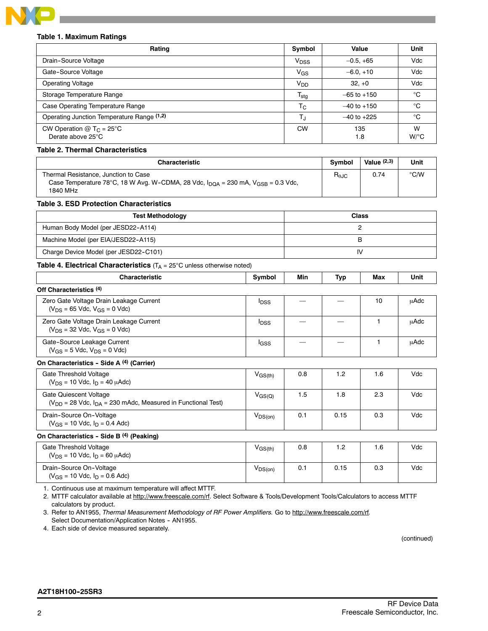

# **Table 1. Maximum Ratings**

| Rating                                                      | Symbol                 | Value           | Unit                      |
|-------------------------------------------------------------|------------------------|-----------------|---------------------------|
| Drain-Source Voltage                                        | <b>V<sub>DSS</sub></b> | $-0.5, +65$     | Vdc                       |
| Gate-Source Voltage                                         | V <sub>GS</sub>        | $-6.0, +10$     | Vdc                       |
| <b>Operating Voltage</b>                                    | V <sub>DD</sub>        | $32, +0$        | Vdc                       |
| Storage Temperature Range                                   | $T_{\text{stg}}$       | $-65$ to $+150$ | °C                        |
| Case Operating Temperature Range                            | $T_{\rm C}$            | $-40$ to $+150$ | °C                        |
| Operating Junction Temperature Range (1,2)                  | TJ                     | $-40$ to $+225$ | °C                        |
| CW Operation $@$ T <sub>C</sub> = 25°C<br>Derate above 25°C | <b>CW</b>              | 135<br>1.8      | W<br>$W$ <sup>o</sup> $C$ |

### **Table 2. Thermal Characteristics**

| <b>Characteristic</b>                                                                                                                                       | <b>Symbol</b>          | Value $(2,3)$ | Unit |
|-------------------------------------------------------------------------------------------------------------------------------------------------------------|------------------------|---------------|------|
| Thermal Resistance, Junction to Case<br>Case Temperature 78°C, 18 W Avg. W-CDMA, 28 Vdc, $I_{\text{DOA}} = 230$ mA, $V_{\text{GSB}} = 0.3$ Vdc,<br>1840 MHz | $R_{\theta \text{JC}}$ | 0.74          | ℃/W  |

#### **Table 3. ESD Protection Characteristics**

| <b>Test Methodology</b>               | <b>Class</b> |
|---------------------------------------|--------------|
| Human Body Model (per JESD22-A114)    |              |
| Machine Model (per EIA/JESD22-A115)   |              |
| Charge Device Model (per JESD22-C101) | IV           |

# **Table 4. Electrical Characteristics** (T<sub>A</sub> = 25°C unless otherwise noted)

| <b>Characteristic</b>                                                                           | Symbol                  | Min | Typ  | Max | Unit |
|-------------------------------------------------------------------------------------------------|-------------------------|-----|------|-----|------|
| Off Characteristics <sup>(4)</sup>                                                              |                         |     |      |     |      |
| Zero Gate Voltage Drain Leakage Current<br>$(V_{DS} = 65$ Vdc, $V_{GS} = 0$ Vdc)                | <b>I</b> DSS            |     |      | 10  | μAdc |
| Zero Gate Voltage Drain Leakage Current<br>$(V_{DS} = 32$ Vdc, $V_{GS} = 0$ Vdc)                | <b>I</b> <sub>DSS</sub> |     |      | 1   | uAdc |
| Gate-Source Leakage Current<br>$(V_{GS} = 5$ Vdc, $V_{DS} = 0$ Vdc)                             | lgss                    |     |      |     | uAdc |
| On Characteristics - Side A (4) (Carrier)                                                       |                         |     |      |     |      |
| Gate Threshold Voltage<br>$(V_{DS} = 10$ Vdc, $I_D = 40$ $\mu$ Adc)                             | $V_{\rm GS(th)}$        | 0.8 | 1.2  | 1.6 | Vdc  |
| Gate Quiescent Voltage<br>$(V_{DD} = 28$ Vdc, $I_{DA} = 230$ mAdc, Measured in Functional Test) | $V_{\rm GS(Q)}$         | 1.5 | 1.8  | 2.3 | Vdc  |
| Drain-Source On-Voltage<br>$(V_{GS} = 10$ Vdc, $I_D = 0.4$ Adc)                                 | $V_{DS(on)}$            | 0.1 | 0.15 | 0.3 | Vdc  |
| On Characteristics - Side B (4) (Peaking)                                                       |                         |     |      |     |      |
| Gate Threshold Voltage<br>$(V_{DS} = 10$ Vdc, $I_{D} = 60$ $\mu$ Adc)                           | $V_{\rm GS(th)}$        | 0.8 | 1.2  | 1.6 | Vdc  |

1. Continuous use at maximum temperature will affect MTTF.

2. MTTF calculator available at http://www.freescale.com/rf. Select Software & Tools/Development Tools/Calculators to access MTTF calculators by product.

3. Refer to AN1955, *Thermal Measurement Methodology of RF Power Amplifiers.* Go to http://www.freescale.com/rf. Select Documentation/Application Notes - AN1955.

4. Each side of device measured separately.

(continued)

### **A2T18H100--25SR3**

Drain-Source On-Voltage  $(V_{GS} = 10$  Vdc,  $I_D = 0.6$  Adc) V<sub>DS(on)</sub> 0.1 0.15 0.3 Vdc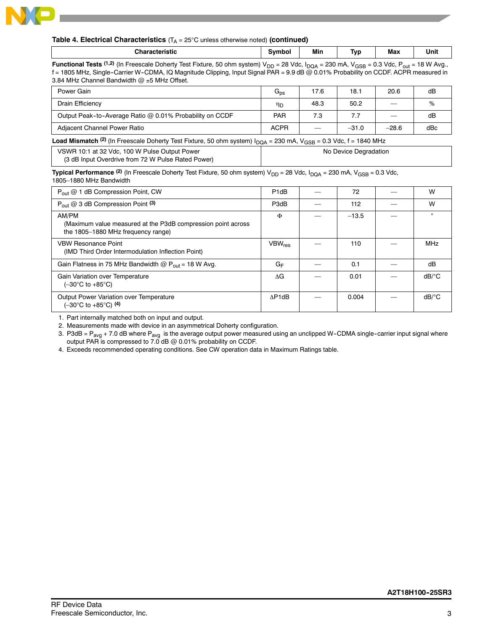

### **Table 4. Electrical Characteristics**  $(T_A = 25^{\circ}C$  unless otherwise noted) (continued)

| and a second second second and second the second second and second the second second and second a second second and second a second and second and second and second and second and second and second and second and second an<br>ïstic | َvmbrد. | Min   | -<br>.vr | <b>Max</b> | Unit |
|-----------------------------------------------------------------------------------------------------------------------------------------------------------------------------------------------------------------------------------------|---------|-------|----------|------------|------|
| $\sim$ $\sim$<br>- -<br>$\sim$ $ \sim$<br>$\sim$<br>$-$<br>$ -$<br>.                                                                                                                                                                    | -----   | - - - | .        | .          | .    |

**Functional Tests** (1,2) (In Freescale Doherty Test Fixture, 50 ohm system) V<sub>DD</sub> = 28 Vdc, I<sub>DQA</sub> = 230 mA, V<sub>GSB</sub> = 0.3 Vdc, P<sub>out</sub> = 18 W Avg., f = 1805 MHz, Single--Carrier W--CDMA, IQ Magnitude Clipping, Input Signal PAR = 9.9 dB @ 0.01% Probability on CCDF. ACPR measured in 3.84 MHz Channel Bandwidth  $@$  ±5 MHz Offset.

| Power Gain                                                                                                                                   | $G_{DS}$              | 17.6                           | 18.1    | 20.6    | dB  |  |  |
|----------------------------------------------------------------------------------------------------------------------------------------------|-----------------------|--------------------------------|---------|---------|-----|--|--|
| Drain Efficiency                                                                                                                             | ηD                    | 48.3                           | 50.2    |         | %   |  |  |
| Output Peak-to-Average Ratio @ 0.01% Probability on CCDF                                                                                     | <b>PAR</b>            | 7.3                            | 7.7     |         | dB  |  |  |
| Adjacent Channel Power Ratio                                                                                                                 | <b>ACPR</b>           | $\qquad \qquad \longleftarrow$ | $-31.0$ | $-28.6$ | dBc |  |  |
| <b>Load Mismatch</b> <sup>(2)</sup> (In Freescale Doherty Test Fixture, 50 ohm system) $I_{DQA}$ = 230 mA, $V_{GSB}$ = 0.3 Vdc, f = 1840 MHz |                       |                                |         |         |     |  |  |
| VSWR 10:1 at 32 Vdc, 100 W Pulse Output Power                                                                                                | No Device Degradation |                                |         |         |     |  |  |

(3 dB Input Overdrive from 72 W Pulse Rated Power)

**Typical Performance** <sup>(2)</sup> (In Freescale Doherty Test Fixture, 50 ohm system) V<sub>DD</sub> = 28 Vdc, I<sub>DQA</sub> = 230 mA, V<sub>GSB</sub> = 0.3 Vdc, 1805–1880 MHz Bandwidth

| $P_{\text{out}} @ 1$ dB Compression Point, CW                                                                | P <sub>1dB</sub> | 72      | W                     |
|--------------------------------------------------------------------------------------------------------------|------------------|---------|-----------------------|
| $P_{out}$ @ 3 dB Compression Point (3)                                                                       | P3dB             | 112     | W                     |
| AM/PM<br>(Maximum value measured at the P3dB compression point across)<br>the 1805-1880 MHz frequency range) | Φ                | $-13.5$ | $\Omega$              |
| <b>VBW Resonance Point</b><br>(IMD Third Order Intermodulation Inflection Point)                             | $VBW_{res}$      | 110     | <b>MHz</b>            |
| Gain Flatness in 75 MHz Bandwidth $@P_{out} = 18$ W Avg.                                                     | $G_F$            | 0.1     | dB                    |
| Gain Variation over Temperature<br>$(-30^{\circ}$ C to $+85^{\circ}$ C)                                      | ΛG               | 0.01    | $dB$ <sup>o</sup> $C$ |
| Output Power Variation over Temperature<br>$(-30^{\circ} \text{C}$ to $+85^{\circ} \text{C})$ (4)            | AP1dB            | 0.004   | dB/°C                 |

1. Part internally matched both on input and output.

2. Measurements made with device in an asymmetrical Doherty configuration.

3. P3dB =  $P_{\text{avg}}$  + 7.0 dB where  $P_{\text{avg}}$  is the average output power measured using an unclipped W-CDMA single-carrier input signal where output PAR is compressed to 7.0 dB @ 0.01% probability on CCDF.

4. Exceeds recommended operating conditions. See CW operation data in Maximum Ratings table.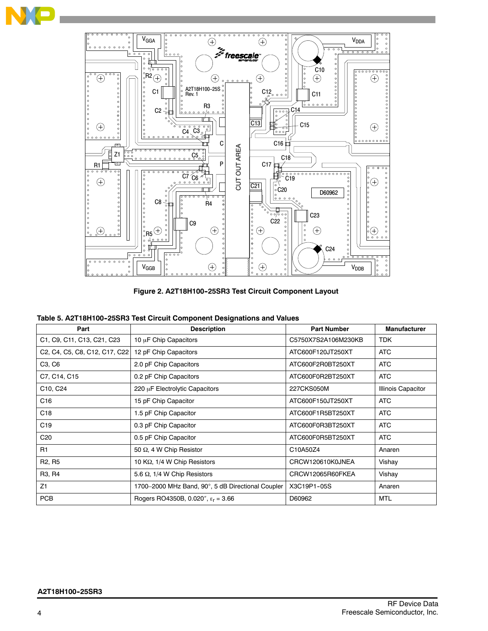

Figure 2. A2T18H100-25SR3 Test Circuit Component Layout

|  |  | Table 5. A2T18H100-25SR3 Test Circuit Component Designations and Values |  |
|--|--|-------------------------------------------------------------------------|--|
|  |  |                                                                         |  |

| Part                                                                                                                    | <b>Description</b>                                | <b>Part Number</b>  | <b>Manufacturer</b>       |
|-------------------------------------------------------------------------------------------------------------------------|---------------------------------------------------|---------------------|---------------------------|
| C1, C9, C11, C13, C21, C23                                                                                              | 10 µF Chip Capacitors                             | C5750X7S2A106M230KB | <b>TDK</b>                |
| C <sub>2</sub> , C <sub>4</sub> , C <sub>5</sub> , C <sub>8</sub> , C <sub>12</sub> , C <sub>17</sub> , C <sub>22</sub> | 12 pF Chip Capacitors                             | ATC600F120JT250XT   | <b>ATC</b>                |
| C <sub>3</sub> , C <sub>6</sub>                                                                                         | 2.0 pF Chip Capacitors                            | ATC600F2R0BT250XT   | <b>ATC</b>                |
| C7, C14, C15                                                                                                            | 0.2 pF Chip Capacitors                            | ATC600F0R2BT250XT   | <b>ATC</b>                |
| C10, C24                                                                                                                | 220 µF Electrolytic Capacitors                    | 227CKS050M          | <b>Illinois Capacitor</b> |
| C16                                                                                                                     | 15 pF Chip Capacitor                              | ATC600F150JT250XT   | <b>ATC</b>                |
| C <sub>18</sub>                                                                                                         | 1.5 pF Chip Capacitor                             | ATC600F1R5BT250XT   | <b>ATC</b>                |
| C <sub>19</sub>                                                                                                         | 0.3 pF Chip Capacitor                             | ATC600F0R3BT250XT   | <b>ATC</b>                |
| C <sub>20</sub>                                                                                                         | 0.5 pF Chip Capacitor                             | ATC600F0R5BT250XT   | <b>ATC</b>                |
| R1                                                                                                                      | 50 Q, 4 W Chip Resistor                           | C10A50Z4            | Anaren                    |
| R <sub>2</sub> , R <sub>5</sub>                                                                                         | 10 KQ, 1/4 W Chip Resistors                       | CRCW120610K0JNEA    | Vishay                    |
| R <sub>3</sub> , R <sub>4</sub>                                                                                         | 5.6 $\Omega$ , 1/4 W Chip Resistors               | CRCW12065R60FKEA    | Vishay                    |
| Z1                                                                                                                      | 1700-2000 MHz Band, 90°, 5 dB Directional Coupler | X3C19P1-05S         | Anaren                    |
| <b>PCB</b>                                                                                                              | Rogers RO4350B, 0.020", $\epsilon_r = 3.66$       | D60962              | MTL                       |

N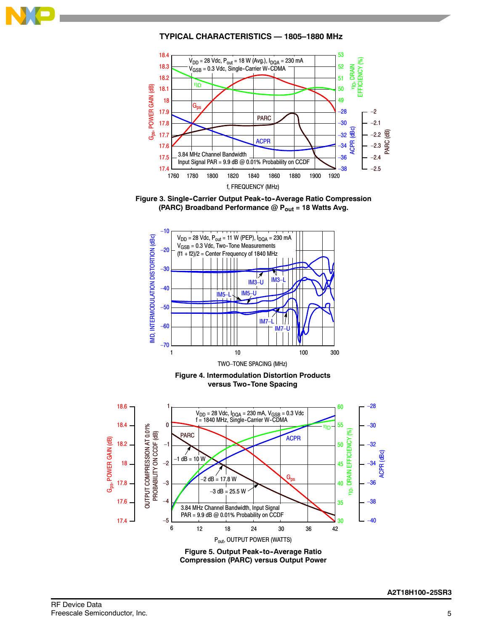

# **TYPICAL CHARACTERISTICS — 1805–1880 MHz**











**Compression (PARC) versus Output Power**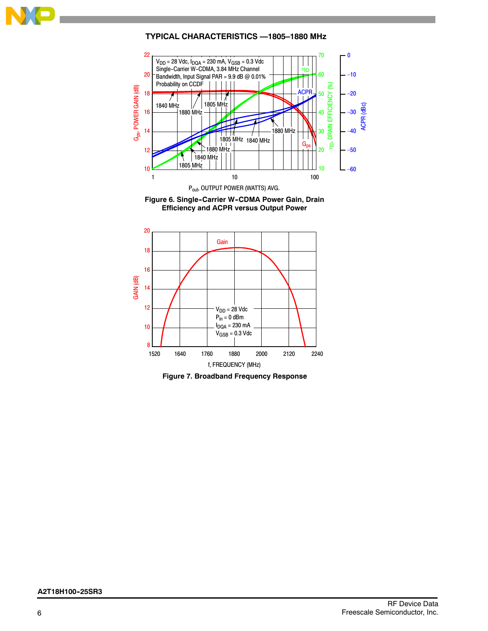

# **TYPICAL CHARACTERISTICS —1805–1880 MHz**







**Figure 7. Broadband Frequency Response**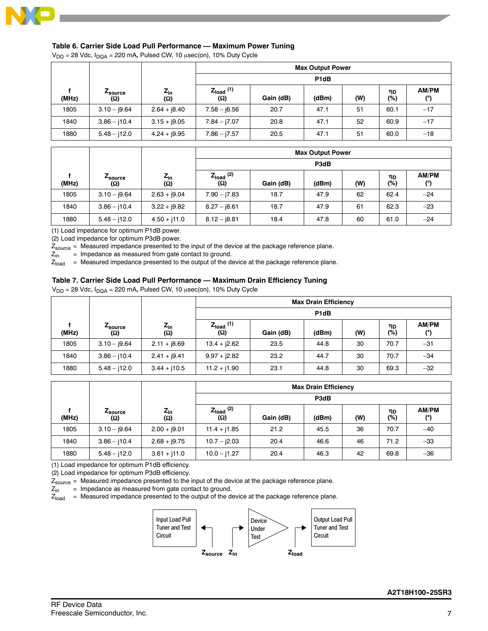

### **Table 6. Carrier Side Load Pull Performance — Maximum Power Tuning**

 $V_{DD}$  = 28 Vdc,  $I_{DQA}$  = 220 mA, Pulsed CW, 10  $\mu$ sec(on), 10% Duty Cycle

|       |                        |                            | <b>Max Output Power</b>      |                   |       |     |             |              |  |
|-------|------------------------|----------------------------|------------------------------|-------------------|-------|-----|-------------|--------------|--|
|       |                        |                            |                              | P <sub>1</sub> dB |       |     |             |              |  |
| (MHz) | <i>L</i> source<br>(Ω) | $z_{\rm in}$<br><b>(Ω)</b> | $Z_{load}$ (1)<br><b>(Ω)</b> | Gain (dB)         | (dBm) | (W) | ηD<br>$(*)$ | AM/PM<br>(°) |  |
| 1805  | $3.10 - j9.64$         | $2.64 + j8.40$             | $7.58 - j6.56$               | 20.7              | 47.1  | 51  | 60.1        | $-17$        |  |
| 1840  | $3.86 - j10.4$         | $3.15 + j9.05$             | $7.84 - 7.07$                | 20.8              | 47.1  | 52  | 60.9        | $-17$        |  |
| 1880  | $5.48 - j12.0$         | $4.24 + j9.95$             | $7.86 - j7.57$               | 20.5              | 47.1  | 51  | 60.0        | $-18$        |  |

|       |                        |                        | <b>Max Output Power</b> |           |       |     |           |              |  |
|-------|------------------------|------------------------|-------------------------|-----------|-------|-----|-----------|--------------|--|
|       |                        |                        | P3dB                    |           |       |     |           |              |  |
| (MHz) | <b>4</b> source<br>(Ω) | $Z_{in}$<br><b>(Ω)</b> | $Z_{load}$ (2)<br>(Ω)   | Gain (dB) | (dBm) | (W) | ηD<br>(%) | AM/PM<br>(°) |  |
| 1805  | $3.10 - j9.64$         | $2.63 + j9.04$         | $7.90 - 7.83$           | 18.7      | 47.9  | 62  | 62.4      | $-24$        |  |
| 1840  | $3.86 - j10.4$         | $3.22 + j9.82$         | $8.27 - j8.61$          | 18.7      | 47.9  | 61  | 62.3      | $-23$        |  |
| 1880  | $5.48 - j12.0$         | $4.50 + j11.0$         | $8.12 - j8.81$          | 18.4      | 47.8  | 60  | 61.0      | $-24$        |  |

(1) Load impedance for optimum P1dB power.

(2) Load impedance for optimum P3dB power.

 $Z_{source}$  = Measured impedance presented to the input of the device at the package reference plane.<br> $Z_{in}$  = Impedance as measured from gate contact to ground.

= Impedance as measured from gate contact to ground.

 $Z<sub>load</sub>$  = Measured impedance presented to the output of the device at the package reference plane.

### **Table 7. Carrier Side Load Pull Performance — Maximum Drain Efficiency Tuning**

 $V_{DD}$  = 28 Vdc,  $I_{DQA}$  = 220 mA, Pulsed CW, 10  $\mu$ sec(on), 10% Duty Cycle

|       |                |                        |                              |                   | <b>Max Drain Efficiency</b> |     |           |                     |  |
|-------|----------------|------------------------|------------------------------|-------------------|-----------------------------|-----|-----------|---------------------|--|
|       |                |                        |                              | P <sub>1d</sub> B |                             |     |           |                     |  |
| (MHz) | Zsource<br>(Q) | $Z_{in}$<br><b>(Ω)</b> | $Z_{load}$ (1)<br><b>(Ω)</b> | Gain (dB)         | (dBm)                       | (W) | ηD<br>(%) | <b>AM/PM</b><br>(°) |  |
| 1805  | $3.10 - j9.64$ | $2.11 + 18.69$         | $13.4 + j2.62$               | 23.5              | 44.8                        | 30  | 70.7      | $-31$               |  |
| 1840  | $3.86 - j10.4$ | $2.41 + j9.41$         | $9.97 + j2.82$               | 23.2              | 44.7                        | 30  | 70.7      | $-34$               |  |
| 1880  | $5.48 - j12.0$ | $3.44 + j10.5$         | $11.2 + j1.90$               | 23.1              | 44.8                        | 30  | 69.3      | $-32$               |  |

|       |                |                            | <b>Max Drain Efficiency</b> |           |       |     |           |                     |  |
|-------|----------------|----------------------------|-----------------------------|-----------|-------|-----|-----------|---------------------|--|
|       |                |                            | P3dB                        |           |       |     |           |                     |  |
| (MHz) | Zsource<br>(Ω) | $z_{\rm in}$<br><b>(Ω)</b> | $Z_{load}$ (2)<br><b>Ω)</b> | Gain (dB) | (dBm) | (W) | ηD<br>(%) | <b>AM/PM</b><br>(°) |  |
| 1805  | $3.10 - j9.64$ | $2.00 + j9.01$             | $11.4 + j1.85$              | 21.2      | 45.5  | 36  | 70.7      | $-40$               |  |
| 1840  | $3.86 - j10.4$ | $2.68 + j9.75$             | $10.7 - j2.03$              | 20.4      | 46.6  | 46  | 71.2      | $-33$               |  |
| 1880  | $5.48 - j12.0$ | $3.61 + j11.0$             | $10.0 - j1.27$              | 20.4      | 46.3  | 42  | 69.8      | $-36$               |  |

(1) Load impedance for optimum P1dB efficiency.

(2) Load impedance for optimum P3dB efficiency.

 $Z_{source}$  = Measured impedance presented to the input of the device at the package reference plane.<br> $Z_{in}$  = Impedance as measured from gate contact to ground.

= Impedance as measured from gate contact to ground.

 $Z<sub>load</sub>$  = Measured impedance presented to the output of the device at the package reference plane.

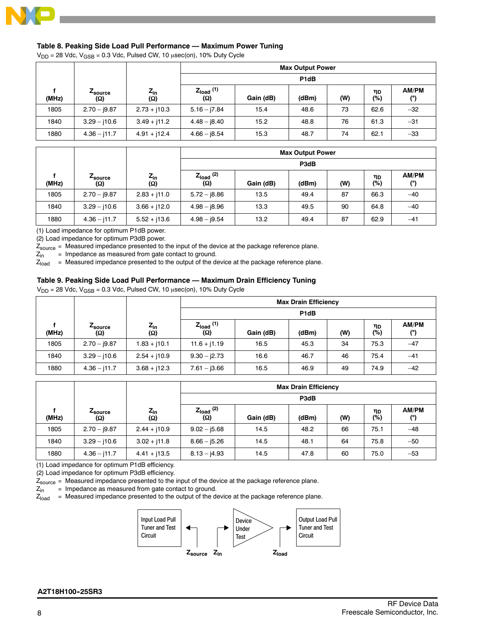

# **Table 8. Peaking Side Load Pull Performance — Maximum Power Tuning**

 $V_{DD}$  = 28 Vdc,  $V_{GSB}$  = 0.3 Vdc, Pulsed CW, 10  $\mu$ sec(on), 10% Duty Cycle

|       |                               |                     | <b>Max Output Power</b> |                               |       |     |           |              |  |  |
|-------|-------------------------------|---------------------|-------------------------|-------------------------------|-------|-----|-----------|--------------|--|--|
|       |                               |                     |                         | P <sub>1</sub> d <sub>B</sub> |       |     |           |              |  |  |
| (MHz) | <b>L</b> source<br><b>(Ω)</b> | $z_{\sf in}$<br>(Ω) | $Z_{load}$ (1)<br>(Ω)   | Gain (dB)                     | (dBm) | (W) | ηD<br>(%) | AM/PM<br>(°) |  |  |
| 1805  | $2.70 - 9.87$                 | $2.73 + j10.3$      | $5.16 - j7.84$          | 15.4                          | 48.6  | 73  | 62.6      | $-32$        |  |  |
| 1840  | $3.29 - j10.6$                | $3.49 + j11.2$      | $4.48 - 18.40$          | 15.2                          | 48.8  | 76  | 61.3      | $-31$        |  |  |
| 1880  | $4.36 - j11.7$                | $4.91 + j12.4$      | $4.66 - 18.54$          | 15.3                          | 48.7  | 74  | 62.1      | $-33$        |  |  |

|       |                |                     | <b>Max Output Power</b> |           |       |     |           |              |  |
|-------|----------------|---------------------|-------------------------|-----------|-------|-----|-----------|--------------|--|
|       |                |                     |                         | P3dB      |       |     |           |              |  |
| (MHz) | ∠source<br>(Ω) | $z_{\sf in}$<br>(Ω) | $Z_{load}$ (2)<br>(Ω)   | Gain (dB) | (dBm) | (W) | ηD<br>(%) | AM/PM<br>(°) |  |
| 1805  | $2.70 - 9.87$  | $2.83 + j11.0$      | $5.72 - j8.86$          | 13.5      | 49.4  | 87  | 66.3      | $-40$        |  |
| 1840  | $3.29 - j10.6$ | $3.66 + j12.0$      | $4.98 - j8.96$          | 13.3      | 49.5  | 90  | 64.8      | $-40$        |  |
| 1880  | $4.36 - j11.7$ | $5.52 + j13.6$      | $4.98 - j9.54$          | 13.2      | 49.4  | 87  | 62.9      | $-41$        |  |

(1) Load impedance for optimum P1dB power.

(2) Load impedance for optimum P3dB power.

 $Z_{source}$  = Measured impedance presented to the input of the device at the package reference plane.<br> $Z_{in}$  = Impedance as measured from gate contact to ground.

= Impedance as measured from gate contact to ground.

 $Z_{load}$  = Measured impedance presented to the output of the device at the package reference plane.

### **Table 9. Peaking Side Load Pull Performance — Maximum Drain Efficiency Tuning**

 $V_{DD}$  = 28 Vdc,  $V_{GSB}$  = 0.3 Vdc, Pulsed CW, 10  $\mu$ sec(on), 10% Duty Cycle

|       |                |                 |                              |                   | <b>Max Drain Efficiency</b> |     |           |              |  |
|-------|----------------|-----------------|------------------------------|-------------------|-----------------------------|-----|-----------|--------------|--|
|       |                |                 |                              | P <sub>1</sub> dB |                             |     |           |              |  |
| (MHz) | Zsource<br>(O) | $Z_{in}$<br>(Ω) | $Z_{load}$ (1)<br><b>(Ω)</b> | Gain (dB)         | (dBm)                       | (W) | ηD<br>(%) | AM/PM<br>(°) |  |
| 1805  | $2.70 - 9.87$  | $1.83 + j10.1$  | $11.6 + j1.19$               | 16.5              | 45.3                        | 34  | 75.3      | $-47$        |  |
| 1840  | $3.29 - j10.6$ | $2.54 + j10.9$  | $9.30 - j2.73$               | 16.6              | 46.7                        | 46  | 75.4      | $-41$        |  |
| 1880  | $4.36 - j11.7$ | $3.68 + j12.3$  | $7.61 - j3.66$               | 16.5              | 46.9                        | 49  | 74.9      | $-42$        |  |

|       |                        |                        |                       |           | <b>Max Drain Efficiency</b> |     |           |              |  |
|-------|------------------------|------------------------|-----------------------|-----------|-----------------------------|-----|-----------|--------------|--|
|       |                        |                        |                       | P3dB      |                             |     |           |              |  |
| (MHz) | <i>L</i> source<br>(Ω) | $Z_{\text{in}}$<br>(Ω) | $Z_{load}$ (2)<br>(Ω) | Gain (dB) | (dBm)                       | (W) | ηD<br>(%) | AM/PM<br>(°) |  |
| 1805  | $2.70 - 9.87$          | $2.44 + 10.9$          | $9.02 - 5.68$         | 14.5      | 48.2                        | 66  | 75.1      | $-48$        |  |
| 1840  | $3.29 - j10.6$         | $3.02 + j11.8$         | $8.66 - 15.26$        | 14.5      | 48.1                        | 64  | 75.8      | $-50$        |  |
| 1880  | $4.36 - j11.7$         | $4.41 + j13.5$         | $8.13 - j4.93$        | 14.5      | 47.8                        | 60  | 75.0      | $-53$        |  |

(1) Load impedance for optimum P1dB efficiency.

(2) Load impedance for optimum P3dB efficiency.

 $Z_{source}$  = Measured impedance presented to the input of the device at the package reference plane.<br> $Z_{in}$  = Impedance as measured from gate contact to ground.

= Impedance as measured from gate contact to ground.

 $Z_{load}$  = Measured impedance presented to the output of the device at the package reference plane.

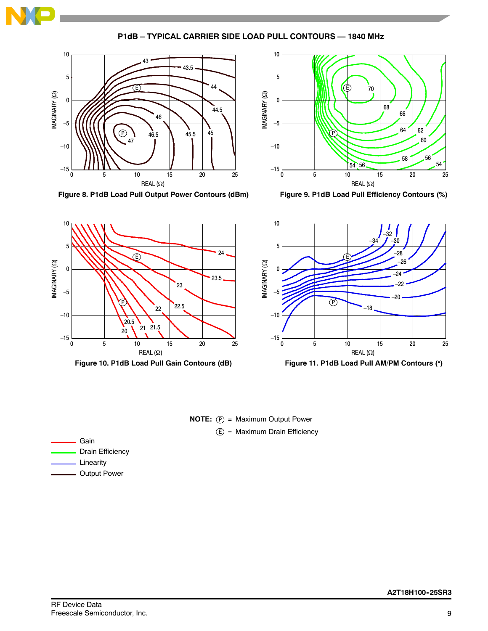

**P1dB – TYPICAL CARRIER SIDE LOAD PULL CONTOURS — 1840 MHz**



**Figure 8. P1dB Load Pull Output Power Contours (dBm)**



**Figure 9. P1dB Load Pull Efficiency Contours (%)**



**Figure 10. P1dB Load Pull Gain Contours (dB)**



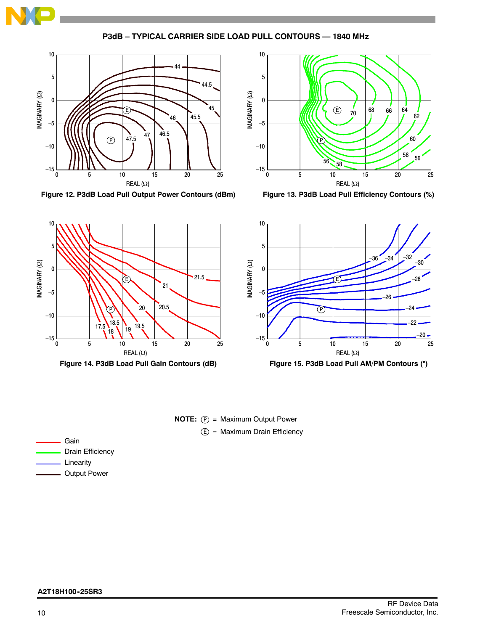

**P3dB – TYPICAL CARRIER SIDE LOAD PULL CONTOURS — 1840 MHz**



**Figure 12. P3dB Load Pull Output Power Contours (dBm)**



**Figure 13. P3dB Load Pull Efficiency Contours (%)**





**Figure 15. P3dB Load Pull AM/PM Contours ()**



| Gain             |
|------------------|
| Drain Efficiency |
| Linearity        |

- Output Power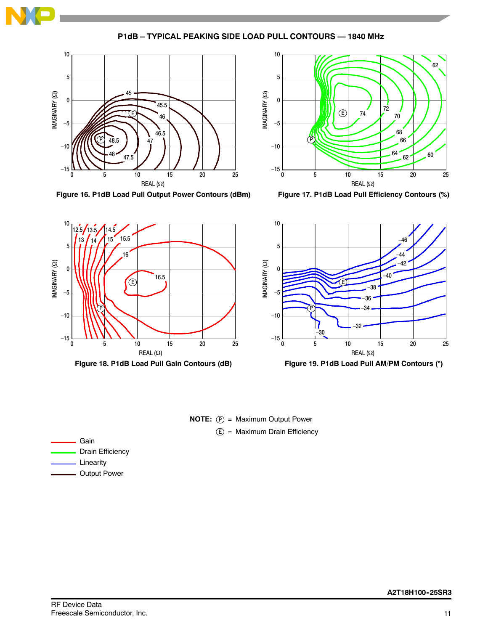

**P1dB – TYPICAL PEAKING SIDE LOAD PULL CONTOURS — 1840 MHz**



**Figure 16. P1dB Load Pull Output Power Contours (dBm)**



**Figure 17. P1dB Load Pull Efficiency Contours (%)**





**Figure 19. P1dB Load Pull AM/PM Contours ()**

**NOTE:**  $(P)$  = Maximum Output Power E) = Maximum Drain Efficiency

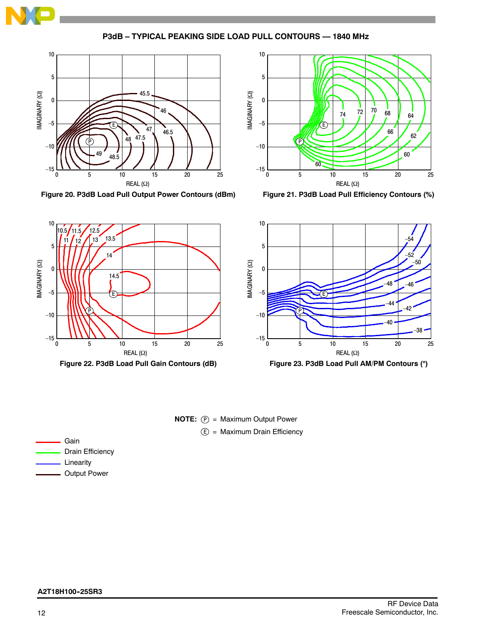

**P3dB – TYPICAL PEAKING SIDE LOAD PULL CONTOURS — 1840 MHz**



**Figure 20. P3dB Load Pull Output Power Contours (dBm)**



**Figure 21. P3dB Load Pull Efficiency Contours (%)**





**Figure 23. P3dB Load Pull AM/PM Contours ()**



# Gain Drain Efficiency Linearity Output Power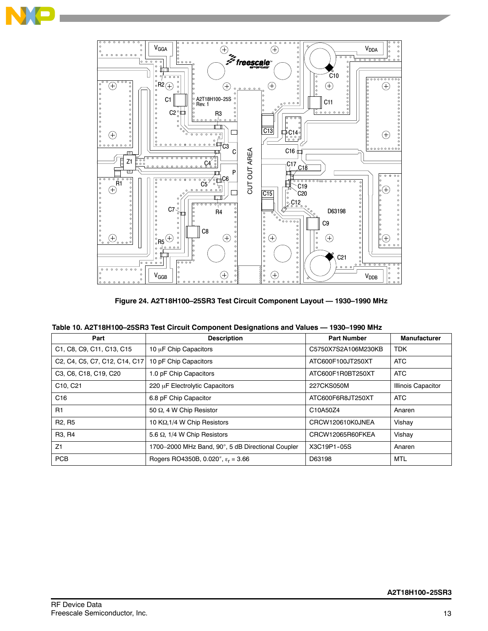



**Figure 24. A2T18H100–25SR3 Test Circuit Component Layout — 1930–1990 MHz**

| Table 10. A2T18H100-25SR3 Test Circuit Component Designations and Values - 1930-1990 MHz |  |  |
|------------------------------------------------------------------------------------------|--|--|
|                                                                                          |  |  |

| Part                                                                                                                    | <b>Description</b>                                | <b>Part Number</b>  | <b>Manufacturer</b>       |
|-------------------------------------------------------------------------------------------------------------------------|---------------------------------------------------|---------------------|---------------------------|
| C1, C8, C9, C11, C13, C15                                                                                               | 10 µF Chip Capacitors                             | C5750X7S2A106M230KB | <b>TDK</b>                |
| C <sub>2</sub> , C <sub>4</sub> , C <sub>5</sub> , C <sub>7</sub> , C <sub>12</sub> , C <sub>14</sub> , C <sub>17</sub> | 10 pF Chip Capacitors                             | ATC600F100JT250XT   | <b>ATC</b>                |
| C3, C6, C18, C19, C20                                                                                                   | 1.0 pF Chip Capacitors<br>ATC600F1R0BT250XT       |                     | <b>ATC</b>                |
| C10, C21                                                                                                                | 220 µF Electrolytic Capacitors                    | 227CKS050M          | <b>Illinois Capacitor</b> |
| C16                                                                                                                     | 6.8 pF Chip Capacitor                             | ATC600F6R8JT250XT   | <b>ATC</b>                |
| R <sub>1</sub>                                                                                                          | 50 Ω, 4 W Chip Resistor                           | C10A50Z4            | Anaren                    |
| R <sub>2</sub> , R <sub>5</sub>                                                                                         | 10 KΩ, 1/4 W Chip Resistors                       | CRCW120610K0JNEA    | Vishay                    |
| R <sub>3</sub> , R <sub>4</sub>                                                                                         | 5.6 $\Omega$ , 1/4 W Chip Resistors               | CRCW12065R60FKEA    | Vishay                    |
| Z <sub>1</sub>                                                                                                          | 1700-2000 MHz Band, 90°, 5 dB Directional Coupler | X3C19P1-05S         | Anaren                    |
| <b>PCB</b>                                                                                                              | Rogers RO4350B, 0.020", $\epsilon_r = 3.66$       | D63198              | <b>MTL</b>                |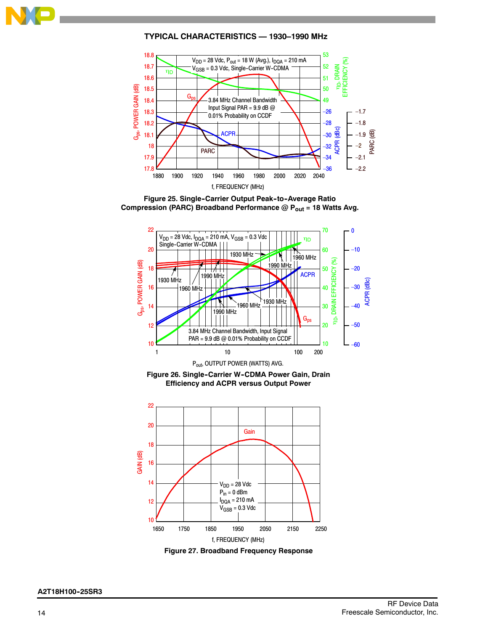**TYPICAL CHARACTERISTICS — 1930–1990 MHz**



**Figure 25. Single-Carrier Output Peak-to-Average Ratio** Compression (PARC) Broadband Performance @ P<sub>out</sub> = 18 Watts Avg.



Figure 26. Single-Carrier W-CDMA Power Gain, Drain **Efficiency and ACPR versus Output Power**



**Figure 27. Broadband Frequency Response**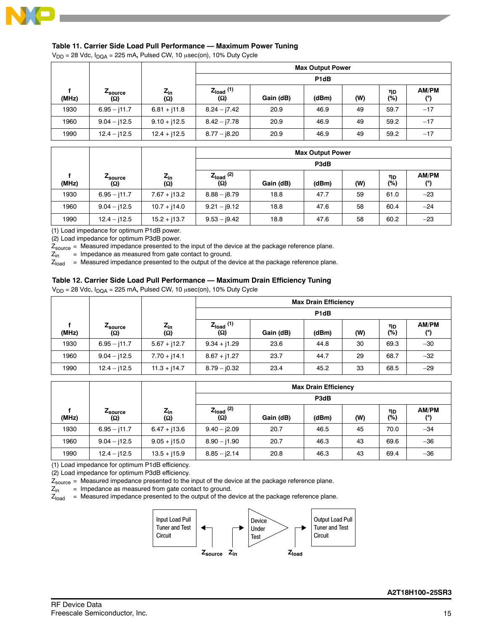

### **Table 11. Carrier Side Load Pull Performance — Maximum Power Tuning**

 $V_{DD}$  = 28 Vdc,  $I_{DQA}$  = 225 mA, Pulsed CW, 10  $\mu$ sec(on), 10% Duty Cycle

|       |                        |                        | <b>Max Output Power</b> |                   |       |     |             |              |  |
|-------|------------------------|------------------------|-------------------------|-------------------|-------|-----|-------------|--------------|--|
|       |                        |                        |                         | P <sub>1d</sub> B |       |     |             |              |  |
| (MHz) | <i>L</i> source<br>(Ω) | $Z_{in}$<br><b>(Ω)</b> | $Z_{load}$ (1)<br>(Ω)   | Gain (dB)         | (dBm) | (W) | ηD<br>$(*)$ | AM/PM<br>(°) |  |
| 1930  | $6.95 - j11.7$         | $6.81 + j11.8$         | $8.24 - 7.42$           | 20.9              | 46.9  | 49  | 59.7        | $-17$        |  |
| 1960  | $9.04 - j12.5$         | $9.10 + j12.5$         | $8.42 - 17.78$          | 20.9              | 46.9  | 49  | 59.2        | $-17$        |  |
| 1990  | $12.4 - j12.5$         | $12.4 + j12.5$         | $8.77 - j8.20$          | 20.9              | 46.9  | 49  | 59.2        | $-17$        |  |

|       |                        |                        |                       |           | <b>Max Output Power</b> |     |           |              |  |
|-------|------------------------|------------------------|-----------------------|-----------|-------------------------|-----|-----------|--------------|--|
|       |                        |                        |                       | P3dB      |                         |     |           |              |  |
| (MHz) | <b>4</b> source<br>(Ω) | $Z_{in}$<br><b>(Ω)</b> | $Z_{load}$ (2)<br>(Ω) | Gain (dB) | (dBm)                   | (W) | ηD<br>(%) | AM/PM<br>(°) |  |
| 1930  | $6.95 - j11.7$         | $7.67 + j13.2$         | $8.88 - j8.79$        | 18.8      | 47.7                    | 59  | 61.0      | $-23$        |  |
| 1960  | $9.04 - j12.5$         | $10.7 + j14.0$         | $9.21 - j9.12$        | 18.8      | 47.6                    | 58  | 60.4      | $-24$        |  |
| 1990  | $12.4 - j12.5$         | $15.2 + j13.7$         | $9.53 - j9.42$        | 18.8      | 47.6                    | 58  | 60.2      | $-23$        |  |

(1) Load impedance for optimum P1dB power.

(2) Load impedance for optimum P3dB power.

 $Z_{source}$  = Measured impedance presented to the input of the device at the package reference plane.<br> $Z_{in}$  = Impedance as measured from gate contact to ground.

= Impedance as measured from gate contact to ground.

 $Z_{load}$  = Measured impedance presented to the output of the device at the package reference plane.

### **Table 12. Carrier Side Load Pull Performance — Maximum Drain Efficiency Tuning**

 $V_{DD}$  = 28 Vdc,  $I_{DQA}$  = 225 mA, Pulsed CW, 10  $\mu$ sec(on), 10% Duty Cycle

|       |                |                            | <b>Max Drain Efficiency</b>  |                   |       |     |           |                     |  |  |  |
|-------|----------------|----------------------------|------------------------------|-------------------|-------|-----|-----------|---------------------|--|--|--|
|       |                |                            |                              | P <sub>1d</sub> B |       |     |           |                     |  |  |  |
| (MHz) | Zsource<br>(Ω) | $z_{\rm in}$<br><b>(Ω)</b> | $Z_{load}$ (1)<br><b>(Ω)</b> | Gain (dB)         | (dBm) | (W) | ηD<br>(%) | <b>AM/PM</b><br>(°) |  |  |  |
| 1930  | $6.95 - j11.7$ | $5.67 + j12.7$             | $9.34 + j1.29$               | 23.6              | 44.8  | 30  | 69.3      | $-30$               |  |  |  |
| 1960  | $9.04 - j12.5$ | $7.70 + j14.1$             | $8.67 + j1.27$               | 23.7              | 44.7  | 29  | 68.7      | $-32$               |  |  |  |
| 1990  | $12.4 - j12.5$ | $11.3 + j14.7$             | $8.79 - 0.32$                | 23.4              | 45.2  | 33  | 68.5      | $-29$               |  |  |  |

|       |                |                        | <b>Max Drain Efficiency</b> |           |       |     |           |              |  |  |  |
|-------|----------------|------------------------|-----------------------------|-----------|-------|-----|-----------|--------------|--|--|--|
|       |                |                        |                             | P3dB      |       |     |           |              |  |  |  |
| (MHz) | Zsource<br>(Ω) | $Z_{in}$<br><b>(Ω)</b> | $Z_{load}$ (2)<br>(Ω)       | Gain (dB) | (dBm) | (W) | ηD<br>(%) | AM/PM<br>(°) |  |  |  |
| 1930  | $6.95 - j11.7$ | $6.47 + j13.6$         | $9.40 - j2.09$              | 20.7      | 46.5  | 45  | 70.0      | $-34$        |  |  |  |
| 1960  | $9.04 - 112.5$ | $9.05 + j15.0$         | $8.90 - j1.90$              | 20.7      | 46.3  | 43  | 69.6      | $-36$        |  |  |  |
| 1990  | $12.4 - j12.5$ | $13.5 + j15.9$         | $8.85 - j2.14$              | 20.8      | 46.3  | 43  | 69.4      | $-36$        |  |  |  |

(1) Load impedance for optimum P1dB efficiency.

(2) Load impedance for optimum P3dB efficiency.

 $Z_{source}$  = Measured impedance presented to the input of the device at the package reference plane.<br> $Z_{in}$  = Impedance as measured from gate contact to ground.

= Impedance as measured from gate contact to ground.

 $Z<sub>load</sub>$  = Measured impedance presented to the output of the device at the package reference plane.

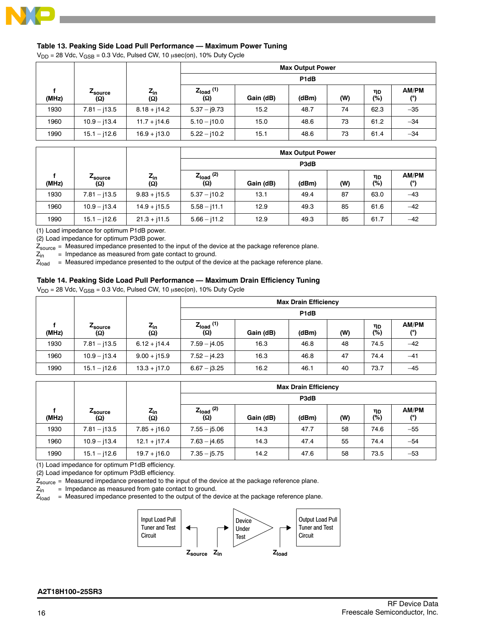

# **Table 13. Peaking Side Load Pull Performance — Maximum Power Tuning**

 $V_{DD}$  = 28 Vdc,  $V_{GSB}$  = 0.3 Vdc, Pulsed CW, 10  $\mu$ sec(on), 10% Duty Cycle

|       |                               |                        |                       |                               | <b>Max Output Power</b> |     |           |              |  |  |  |
|-------|-------------------------------|------------------------|-----------------------|-------------------------------|-------------------------|-----|-----------|--------------|--|--|--|
|       |                               |                        |                       | P <sub>1</sub> d <sub>B</sub> |                         |     |           |              |  |  |  |
| (MHz) | <b>L</b> source<br><b>(Ω)</b> | $Z_{in}$<br><b>(Ω)</b> | $Z_{load}$ (1)<br>(Ω) | Gain (dB)                     | (dBm)                   | (W) | ηD<br>(%) | AM/PM<br>(°) |  |  |  |
| 1930  | $7.81 - j13.5$                | $8.18 + j14.2$         | $5.37 - j9.73$        | 15.2                          | 48.7                    | 74  | 62.3      | $-35$        |  |  |  |
| 1960  | $10.9 - j13.4$                | $11.7 + j14.6$         | $5.10 - j10.0$        | 15.0                          | 48.6                    | 73  | 61.2      | $-34$        |  |  |  |
| 1990  | $15.1 - j12.6$                | $16.9 + j13.0$         | $5.22 - j10.2$        | 15.1                          | 48.6                    | 73  | 61.4      | $-34$        |  |  |  |

| <b>Max Output Power</b> |                        |                        |                              |           |       |     |           |                            |  |  |
|-------------------------|------------------------|------------------------|------------------------------|-----------|-------|-----|-----------|----------------------------|--|--|
|                         |                        |                        |                              | P3dB      |       |     |           |                            |  |  |
| (MHz)                   | <b>L</b> source<br>(Ω) | $Z_{in}$<br><b>(Ω)</b> | $Z_{load}$ (2)<br><b>(Ω)</b> | Gain (dB) | (dBm) | (W) | ηD<br>(%) | <b>AM/PM</b><br>$^{\circ}$ |  |  |
| 1930                    | $7.81 - j13.5$         | $9.83 + j15.5$         | $5.37 - j10.2$               | 13.1      | 49.4  | 87  | 63.0      | $-43$                      |  |  |
| 1960                    | $10.9 - j13.4$         | $14.9 + j15.5$         | $5.58 - j11.1$               | 12.9      | 49.3  | 85  | 61.6      | $-42$                      |  |  |
| 1990                    | $15.1 - j12.6$         | $21.3 + j11.5$         | $5.66 - j11.2$               | 12.9      | 49.3  | 85  | 61.7      | $-42$                      |  |  |

(1) Load impedance for optimum P1dB power.

(2) Load impedance for optimum P3dB power.

 $Z_{\text{source}}$  = Measured impedance presented to the input of the device at the package reference plane.<br> $Z_{\text{in}}$  = Impedance as measured from gate contact to ground.

= Impedance as measured from gate contact to ground.

 $Z_{load}$  = Measured impedance presented to the output of the device at the package reference plane.

### **Table 14. Peaking Side Load Pull Performance — Maximum Drain Efficiency Tuning**

 $V_{DD}$  = 28 Vdc,  $V_{GSB}$  = 0.3 Vdc, Pulsed CW, 10  $\mu$ sec(on), 10% Duty Cycle

|       |                            |                 | <b>Max Drain Efficiency</b>  |                   |       |     |           |              |  |  |  |
|-------|----------------------------|-----------------|------------------------------|-------------------|-------|-----|-----------|--------------|--|--|--|
|       |                            |                 |                              | P <sub>1</sub> dB |       |     |           |              |  |  |  |
| (MHz) | Z <sub>source</sub><br>(ဂ) | $Z_{in}$<br>(Ω) | $Z_{load}$ (1)<br><b>(Ω)</b> | Gain (dB)         | (dBm) | (W) | ηD<br>(%) | AM/PM<br>(°) |  |  |  |
| 1930  | $7.81 - j13.5$             | $6.12 + j14.4$  | $7.59 - j4.05$               | 16.3              | 46.8  | 48  | 74.5      | $-42$        |  |  |  |
| 1960  | $10.9 - j13.4$             | $9.00 + j15.9$  | $7.52 - j4.23$               | 16.3              | 46.8  | 47  | 74.4      | $-41$        |  |  |  |
| 1990  | $15.1 - j12.6$             | $13.3 + j17.0$  | $6.67 - j3.25$               | 16.2              | 46.1  | 40  | 73.7      | $-45$        |  |  |  |

|       |                |                                             |                       |           | <b>Max Drain Efficiency</b> |     |           |              |  |  |  |
|-------|----------------|---------------------------------------------|-----------------------|-----------|-----------------------------|-----|-----------|--------------|--|--|--|
|       |                |                                             |                       | P3dB      |                             |     |           |              |  |  |  |
| (MHz) | Zsource<br>(Ω) | $\frac{Z_{\text{in}}}{\left(\Omega\right)}$ | $Z_{load}$ (2)<br>(Ω) | Gain (dB) | (dBm)                       | (W) | ηD<br>(%) | AM/PM<br>(°) |  |  |  |
| 1930  | $7.81 - j13.5$ | $7.85 + j16.0$                              | $7.55 - 15.06$        | 14.3      | 47.7                        | 58  | 74.6      | $-55$        |  |  |  |
| 1960  | $10.9 - j13.4$ | $12.1 + j17.4$                              | $7.63 - j4.65$        | 14.3      | 47.4                        | 55  | 74.4      | $-54$        |  |  |  |
| 1990  | $15.1 - j12.6$ | $19.7 + j16.0$                              | $7.35 - 15.75$        | 14.2      | 47.6                        | 58  | 73.5      | $-53$        |  |  |  |

(1) Load impedance for optimum P1dB efficiency.

(2) Load impedance for optimum P3dB efficiency.

 $Z_{source}$  = Measured impedance presented to the input of the device at the package reference plane.<br> $Z_{in}$  = Impedance as measured from gate contact to ground.

= Impedance as measured from gate contact to ground.

 $Z_{load}$  = Measured impedance presented to the output of the device at the package reference plane.

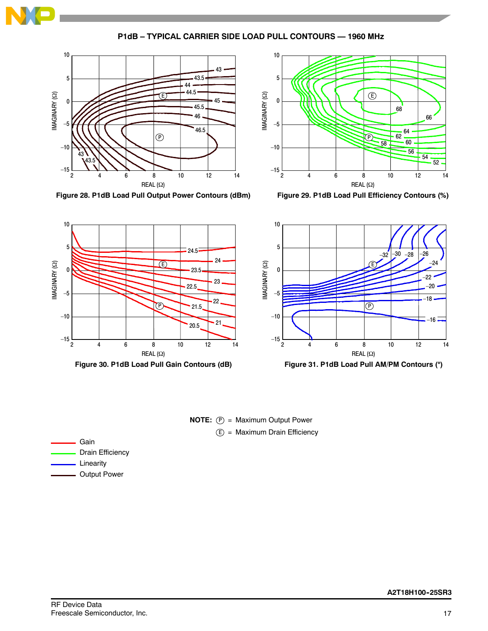**P1dB – TYPICAL CARRIER SIDE LOAD PULL CONTOURS — 1960 MHz**

10





**Figure 28. P1dB Load Pull Output Power Contours (dBm)**







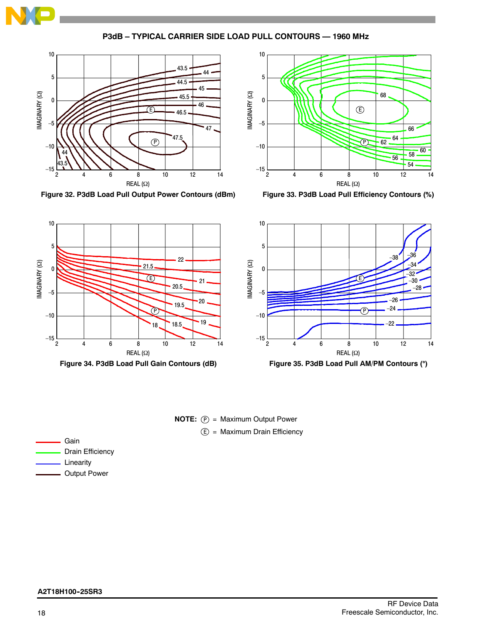

**P3dB – TYPICAL CARRIER SIDE LOAD PULL CONTOURS — 1960 MHz**



**Figure 32. P3dB Load Pull Output Power Contours (dBm)**



**Figure 33. P3dB Load Pull Efficiency Contours (%)**





Gain Drain Efficiency Linearity

Output Power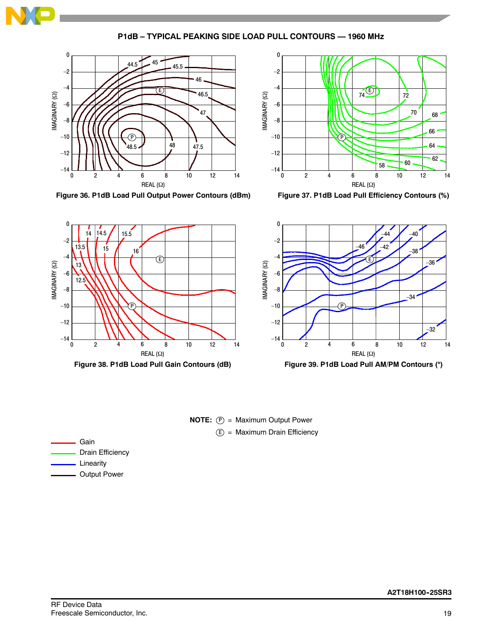

**P1dB – TYPICAL PEAKING SIDE LOAD PULL CONTOURS — 1960 MHz**



**Figure 36. P1dB Load Pull Output Power Contours (dBm)**



**Figure 37. P1dB Load Pull Efficiency Contours (%)**





**Figure 39. P1dB Load Pull AM/PM Contours ()**

**NOTE:**  $(P) =$  Maximum Output Power E) = Maximum Drain Efficiency

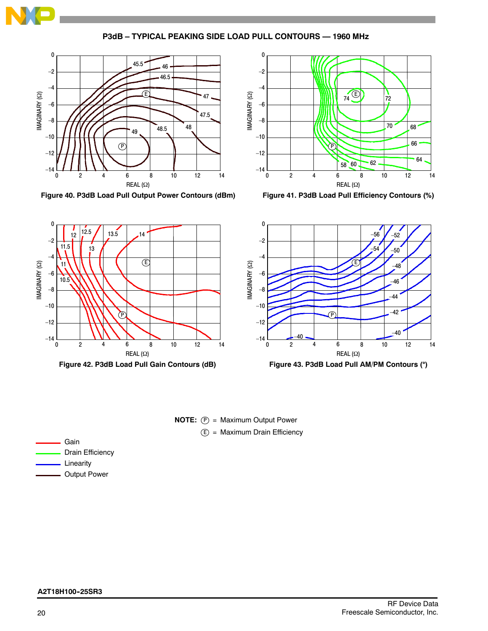

**P3dB – TYPICAL PEAKING SIDE LOAD PULL CONTOURS — 1960 MHz**



**Figure 40. P3dB Load Pull Output Power Contours (dBm)**



**Figure 41. P3dB Load Pull Efficiency Contours (%)**





**Figure 43. P3dB Load Pull AM/PM Contours ()**



| Gain                |
|---------------------|
| Drain Efficiency    |
| Linearity           |
| <b>Output Power</b> |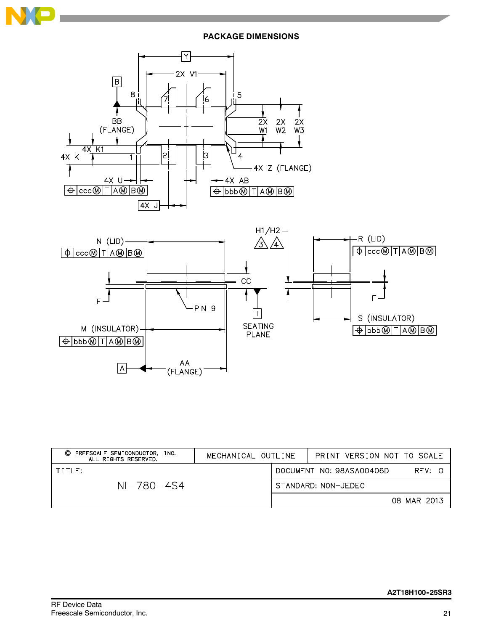

**PACKAGE DIMENSIONS**



| FREESCALE SEMICONDUCTOR, INC.<br>O<br>ALL RIGHTS RESERVED. | MECHANICAL OUTLINE | PRINT VERSION NOT TO SCALE |             |
|------------------------------------------------------------|--------------------|----------------------------|-------------|
| TITLE:                                                     |                    | DOCUMENT NO: 98ASA00406D   | REV: 0      |
| $NI - 780 - 454$                                           |                    | STANDARD: NON-JEDEC        |             |
|                                                            |                    |                            | 08 MAR 2013 |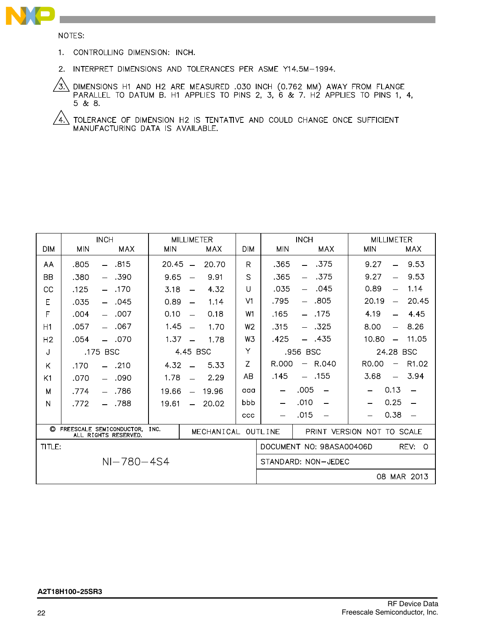

NOTES:

- 1. CONTROLLING DIMENSION: INCH.
- 2. INTERPRET DIMENSIONS AND TOLERANCES PER ASME Y14.5M-1994.

 $\langle 3 \rangle$ DIMENSIONS H1 AND H2 ARE MEASURED .030 INCH (0.762 MM) AWAY FROM FLANGE PARALLEL TO DATUM B. H1 APPLIES TO PINS 2, 3, 6 & 7. H2 APPLIES TO PINS 1, 4,  $5 & 8.8$ 

 $\sqrt{4}$  tolerance of dimension H2 is tentative and could change once sufficient MANUFACTURING DATA IS AVAILABLE.

| <b>INCH</b><br><b>MILLIMETER</b> |            |                                                         |            |                          |                    |                |                          | <b>INCH</b>                      | <b>MILLIMETER</b>                            |                          |
|----------------------------------|------------|---------------------------------------------------------|------------|--------------------------|--------------------|----------------|--------------------------|----------------------------------|----------------------------------------------|--------------------------|
| <b>DIM</b>                       | <b>MIN</b> | <b>MAX</b>                                              | <b>MIN</b> |                          | MAX                | <b>DIM</b>     | <b>MIN</b>               | MAX                              | <b>MIN</b>                                   | MAX                      |
| AA                               | .805       | .815<br>$-$                                             | 20.45      | $\frac{1}{2}$            | 20.70              | R              | .365                     | .375<br>$\equiv$                 | 9.27<br>$\equiv$                             | 9.53                     |
| <b>BB</b>                        | .380       | .390                                                    | 9.65       | $\overline{\phantom{0}}$ | 9.91               | S              | .365                     | .375                             | 9.27                                         | 9.53                     |
| СC                               | .125       | .170<br>$\equiv$                                        | 3.18       | $\overline{\phantom{0}}$ | 4.32               | U              | .035                     | .045<br>$\overline{\phantom{0}}$ | 0.89<br>$\overline{\phantom{0}}$             | 1.14                     |
| E                                | .035       | .045                                                    | 0.89       | $\overline{\phantom{0}}$ | 1.14               | V <sub>1</sub> | .795                     | $-.805$                          | 20.19<br>$\overline{\phantom{m}}$            | 20.45                    |
| F                                | .004       | .007<br>$-$                                             | 0.10       | $\equiv$                 | 0.18               | W <sub>1</sub> | .165                     | $-$ .175                         | 4.19<br>$\overline{\phantom{0}}$             | 4.45                     |
| H1                               | .057       | .067<br>$-$                                             | 1.45       | $\overline{\phantom{0}}$ | 1.70               | W <sub>2</sub> | .315                     | $- .325$                         | 8.00<br>$\overline{\phantom{0}}$             | 8.26                     |
| H <sub>2</sub>                   | .054       | $-.070$                                                 | 1.37       |                          | 1.78               | W3             | .425                     | - .435                           | 10.80<br>$\equiv$                            | 11.05                    |
| J                                |            | .175 BSC                                                |            | 4.45 BSC                 |                    | Υ              |                          | .956 BSC                         | 24.28 BSC                                    |                          |
| K                                | .170       | $-.210$                                                 | 4.32       |                          | 5.33               | Z              | R.000                    | R.040<br>$\qquad \qquad -$       | R <sub>0</sub> .00<br>$\qquad \qquad \qquad$ | R <sub>1.02</sub>        |
| K1                               | .070       | .090                                                    | 1.78       |                          | 2.29               | AB             | .145                     | $-$ .155                         | 3.68<br>$\equiv$                             | 3.94                     |
| M                                | .774       | .786                                                    | 19.66      | $\equiv$                 | 19.96              | aaa            |                          | .005<br>$\overline{\phantom{0}}$ | 0.13                                         | $\equiv$                 |
| N                                | .772       | .788<br>$\overline{\phantom{0}}$                        | 19.61      | $-$                      | 20.02              | bbb            | $\overline{\phantom{0}}$ | .010<br>$\overline{\phantom{0}}$ | 0.25                                         | $\overline{\phantom{0}}$ |
|                                  |            |                                                         |            |                          |                    | ccc            |                          | .015                             | 0.38                                         |                          |
|                                  |            | C FREESCALE SEMICONDUCTOR, INC.<br>ALL RIGHTS RESERVED. |            |                          | MECHANICAL OUTLINE |                |                          |                                  | PRINT VERSION NOT TO SCALE                   |                          |
| TITLE:                           |            |                                                         |            |                          |                    |                |                          | DOCUMENT NO: 98ASA00406D         |                                              | REV:<br>$\Omega$         |
|                                  |            | $NI - 780 - 4S4$                                        |            |                          |                    |                |                          | STANDARD: NON-JEDEC              |                                              |                          |
|                                  |            |                                                         |            |                          |                    |                |                          |                                  |                                              | 08 MAR 2013              |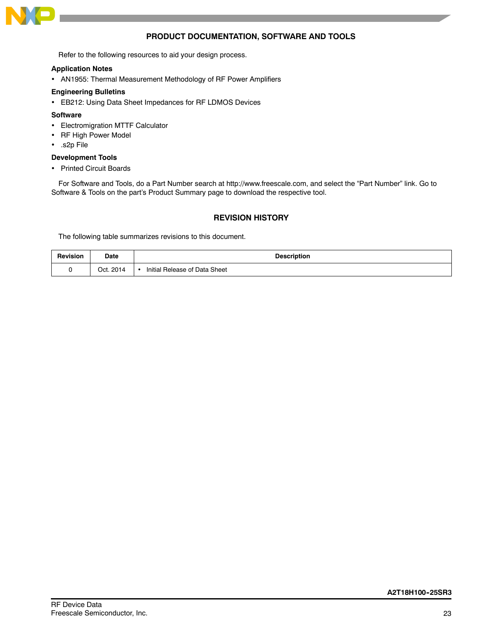

# **PRODUCT DOCUMENTATION, SOFTWARE AND TOOLS**

Refer to the following resources to aid your design process.

### **Application Notes**

AN1955: Thermal Measurement Methodology of RF Power Amplifiers

### **Engineering Bulletins**

EB212: Using Data Sheet Impedances for RF LDMOS Devices

### **Software**

- Electromigration MTTF Calculator
- RF High Power Model
- .s2p File

### **Development Tools**

• Printed Circuit Boards

For Software and Tools, do a Part Number search at http://www.freescale.com, and select the "Part Number" link. Go to Software & Tools on the part's Product Summary page to download the respective tool.

# **REVISION HISTORY**

The following table summarizes revisions to this document.

| <b>Revision</b> | Date      | <b>Description</b>                                             |
|-----------------|-----------|----------------------------------------------------------------|
|                 | Oct. 2014 | l Release of Data Sheet<br>Initial<br>$\overline{\phantom{a}}$ |